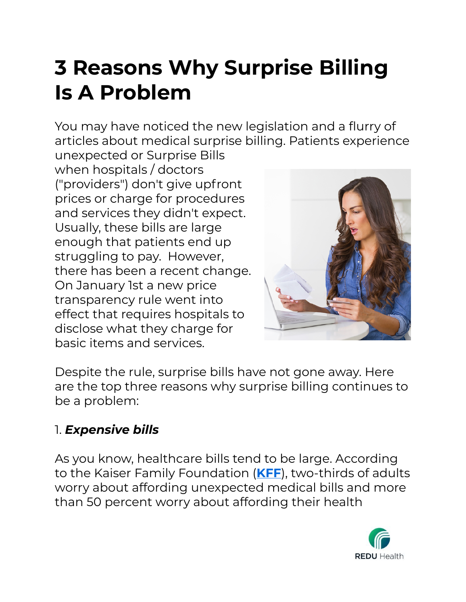## **3 Reasons Why Surprise Billing Is A Problem**

You may have noticed the new legislation and a flurry of articles about medical surprise billing. Patients experience

unexpected or Surprise Bills when hospitals / doctors ("providers") don't give upfront prices or charge for procedures and services they didn't expect. Usually, these bills are large enough that patients end up struggling to pay. However, there has been a recent change. On January 1st a new price transparency rule went into effect that requires hospitals to disclose what they charge for basic items and services.



Despite the rule, surprise bills have not gone away. Here are the top three reasons why surprise billing continues to be a problem:

## 1. *Expensive bills*

As you know, healthcare bills tend to be large. According to the Kaiser Family Foundation (**[KFF](https://jamanetwork.com/journals/jama/fullarticle/2760721)**), two-thirds of adults worry about affording unexpected medical bills and more than 50 percent worry about affording their health

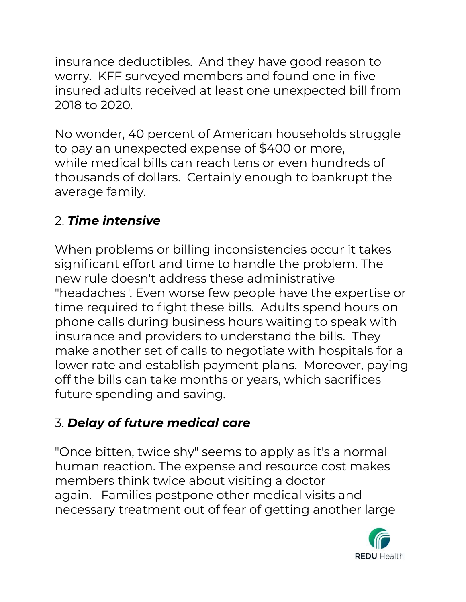insurance deductibles. And they have good reason to worry. KFF surveyed members and found one in five insured adults received at least one unexpected bill from 2018 to 2020.

No wonder, 40 percent of American households struggle to pay an unexpected expense of \$400 or more, while medical bills can reach tens or even hundreds of thousands of dollars. Certainly enough to bankrupt the average family.

## 2. *Time intensive*

When problems or billing inconsistencies occur it takes significant effort and time to handle the problem. The new rule doesn't address these administrative "headaches". Even worse few people have the expertise or time required to fight these bills. Adults spend hours on phone calls during business hours waiting to speak with insurance and providers to understand the bills. They make another set of calls to negotiate with hospitals for a lower rate and establish payment plans. Moreover, paying off the bills can take months or years, which sacrifices future spending and saving.

## 3. *Delay of future medical care*

"Once bitten, twice shy" seems to apply as it's a normal human reaction. The expense and resource cost makes members think twice about visiting a doctor again. Families postpone other medical visits and necessary treatment out of fear of getting another large